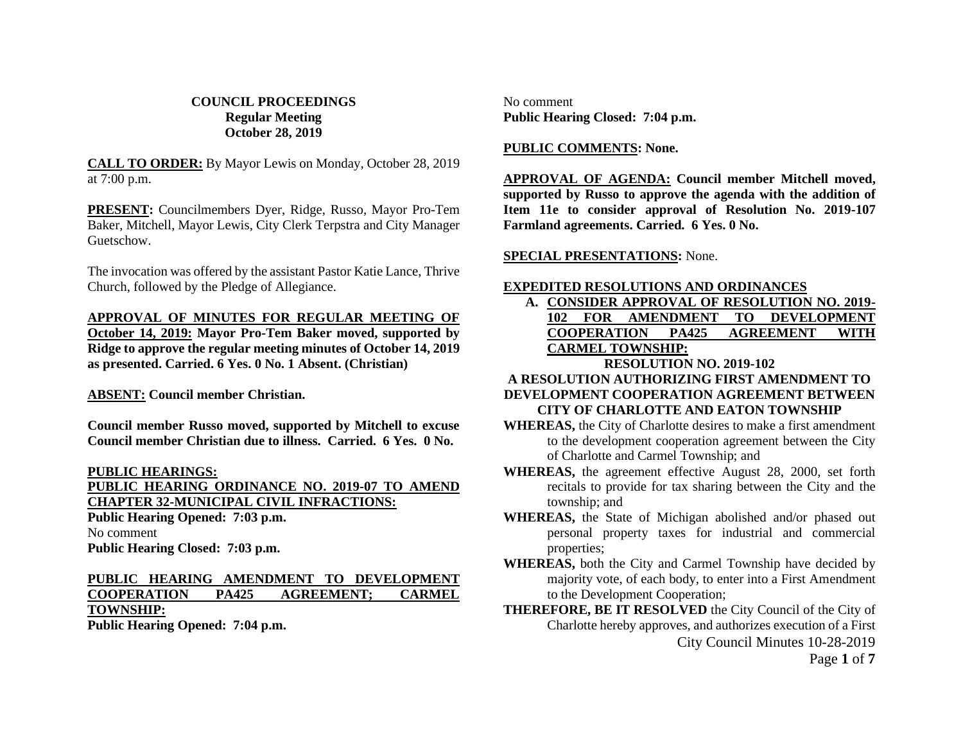### **COUNCIL PROCEEDINGS Regular Meeting October 28, 2019**

**CALL TO ORDER:** By Mayor Lewis on Monday, October 28, 2019 at 7:00 p.m.

**PRESENT:** Councilmembers Dyer, Ridge, Russo, Mayor Pro-Tem Baker, Mitchell, Mayor Lewis, City Clerk Terpstra and City Manager Guetschow.

The invocation was offered by the assistant Pastor Katie Lance, Thrive Church, followed by the Pledge of Allegiance.

**APPROVAL OF MINUTES FOR REGULAR MEETING OF October 14, 2019: Mayor Pro-Tem Baker moved, supported by Ridge to approve the regular meeting minutes of October 14, 2019 as presented. Carried. 6 Yes. 0 No. 1 Absent. (Christian)**

**ABSENT: Council member Christian.**

**Council member Russo moved, supported by Mitchell to excuse Council member Christian due to illness. Carried. 6 Yes. 0 No.**

**PUBLIC HEARINGS:**

**PUBLIC HEARING ORDINANCE NO. 2019-07 TO AMEND CHAPTER 32-MUNICIPAL CIVIL INFRACTIONS: Public Hearing Opened: 7:03 p.m.** No comment **Public Hearing Closed: 7:03 p.m.**

# **PUBLIC HEARING AMENDMENT TO DEVELOPMENT COOPERATION PA425 AGREEMENT; CARMEL TOWNSHIP:**

**Public Hearing Opened: 7:04 p.m.**

No comment **Public Hearing Closed: 7:04 p.m.**

### **PUBLIC COMMENTS: None.**

**APPROVAL OF AGENDA: Council member Mitchell moved, supported by Russo to approve the agenda with the addition of Item 11e to consider approval of Resolution No. 2019-107 Farmland agreements. Carried. 6 Yes. 0 No.**

**SPECIAL PRESENTATIONS:** None.

### **EXPEDITED RESOLUTIONS AND ORDINANCES**

**A. CONSIDER APPROVAL OF RESOLUTION NO. 2019- 102 FOR AMENDMENT TO DEVELOPMENT COOPERATION PA425 AGREEMENT WITH CARMEL TOWNSHIP:**

### **RESOLUTION NO. 2019-102**

# **A RESOLUTION AUTHORIZING FIRST AMENDMENT TO**

#### **DEVELOPMENT COOPERATION AGREEMENT BETWEEN CITY OF CHARLOTTE AND EATON TOWNSHIP**

- **WHEREAS,** the City of Charlotte desires to make a first amendment to the development cooperation agreement between the City of Charlotte and Carmel Township; and
- **WHEREAS,** the agreement effective August 28, 2000, set forth recitals to provide for tax sharing between the City and the township; and
- **WHEREAS,** the State of Michigan abolished and/or phased out personal property taxes for industrial and commercial properties;
- **WHEREAS,** both the City and Carmel Township have decided by majority vote, of each body, to enter into a First Amendment to the Development Cooperation;
- City Council Minutes 10-28-2019 **THEREFORE, BE IT RESOLVED** the City Council of the City of Charlotte hereby approves, and authorizes execution of a First

Page **1** of **7**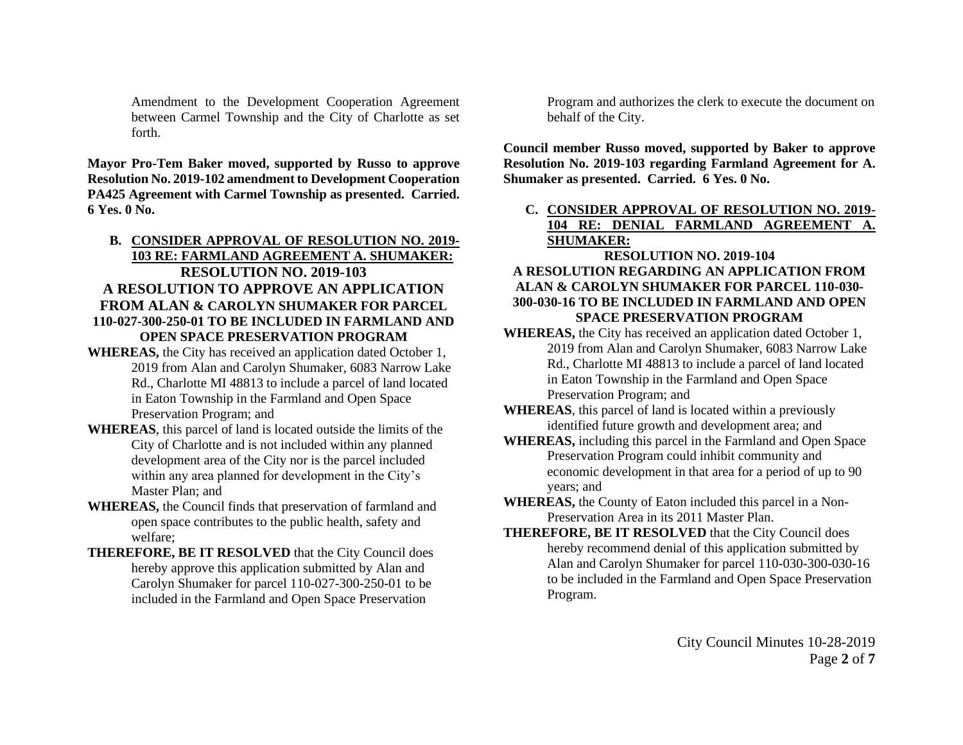Amendment to the Development Cooperation Agreement between Carmel Township and the City of Charlotte as set forth.

**Mayor Pro-Tem Baker moved, supported by Russo to approve Resolution No. 2019-102 amendment to Development Cooperation PA425 Agreement with Carmel Township as presented. Carried. 6 Yes. 0 No.**

## **B. CONSIDER APPROVAL OF RESOLUTION NO. 2019- 103 RE: FARMLAND AGREEMENT A. SHUMAKER: RESOLUTION NO. 2019-103 A RESOLUTION TO APPROVE AN APPLICATION FROM ALAN & CAROLYN SHUMAKER FOR PARCEL 110-027-300-250-01 TO BE INCLUDED IN FARMLAND AND OPEN SPACE PRESERVATION PROGRAM**

- **WHEREAS,** the City has received an application dated October 1, 2019 from Alan and Carolyn Shumaker, 6083 Narrow Lake Rd., Charlotte MI 48813 to include a parcel of land located in Eaton Township in the Farmland and Open Space Preservation Program; and
- **WHEREAS**, this parcel of land is located outside the limits of the City of Charlotte and is not included within any planned development area of the City nor is the parcel included within any area planned for development in the City's Master Plan; and
- **WHEREAS,** the Council finds that preservation of farmland and open space contributes to the public health, safety and welfare;
- **THEREFORE, BE IT RESOLVED** that the City Council does hereby approve this application submitted by Alan and Carolyn Shumaker for parcel 110-027-300-250-01 to be included in the Farmland and Open Space Preservation

Program and authorizes the clerk to execute the document on behalf of the City.

**Council member Russo moved, supported by Baker to approve Resolution No. 2019-103 regarding Farmland Agreement for A. Shumaker as presented. Carried. 6 Yes. 0 No.**

**C. CONSIDER APPROVAL OF RESOLUTION NO. 2019- 104 RE: DENIAL FARMLAND AGREEMENT A. SHUMAKER:**

## **RESOLUTION NO. 2019-104 A RESOLUTION REGARDING AN APPLICATION FROM ALAN & CAROLYN SHUMAKER FOR PARCEL 110-030- 300-030-16 TO BE INCLUDED IN FARMLAND AND OPEN SPACE PRESERVATION PROGRAM**

- **WHEREAS,** the City has received an application dated October 1, 2019 from Alan and Carolyn Shumaker, 6083 Narrow Lake Rd., Charlotte MI 48813 to include a parcel of land located in Eaton Township in the Farmland and Open Space Preservation Program; and
- **WHEREAS**, this parcel of land is located within a previously identified future growth and development area; and
- **WHEREAS,** including this parcel in the Farmland and Open Space Preservation Program could inhibit community and economic development in that area for a period of up to 90 years; and
- **WHEREAS,** the County of Eaton included this parcel in a Non-Preservation Area in its 2011 Master Plan.
- **THEREFORE, BE IT RESOLVED** that the City Council does hereby recommend denial of this application submitted by Alan and Carolyn Shumaker for parcel 110-030-300-030-16 to be included in the Farmland and Open Space Preservation Program.

City Council Minutes 10-28-2019 Page **2** of **7**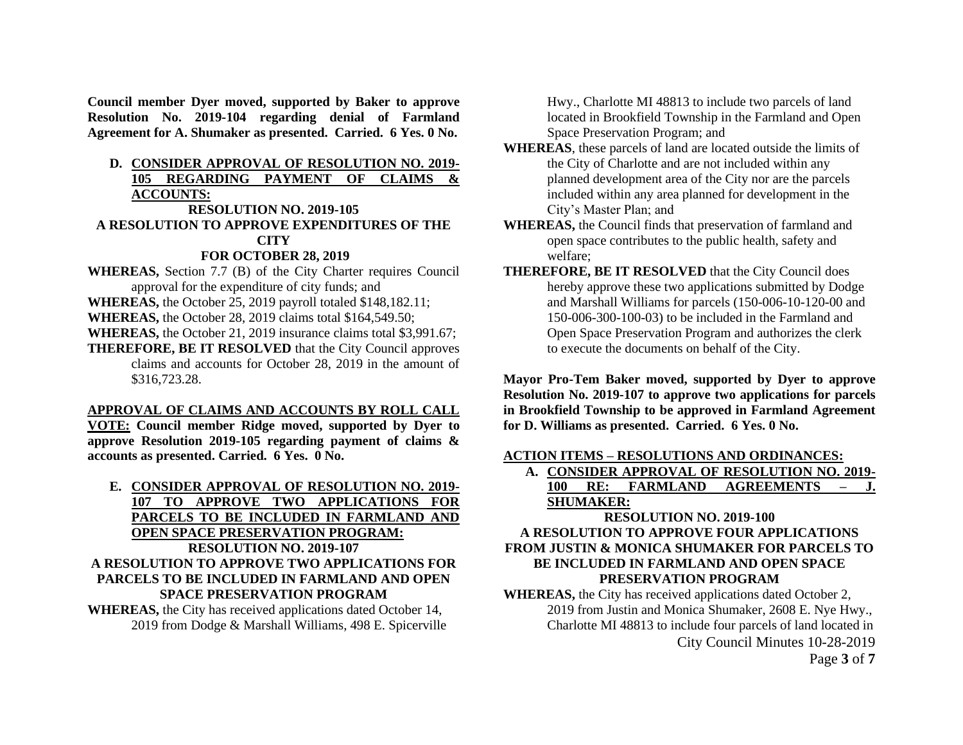**Council member Dyer moved, supported by Baker to approve Resolution No. 2019-104 regarding denial of Farmland Agreement for A. Shumaker as presented. Carried. 6 Yes. 0 No.**

### **D. CONSIDER APPROVAL OF RESOLUTION NO. 2019- 105 REGARDING PAYMENT OF CLAIMS & ACCOUNTS:**

#### **RESOLUTION NO. 2019-105**

### **A RESOLUTION TO APPROVE EXPENDITURES OF THE CITY**

### **FOR OCTOBER 28, 2019**

- **WHEREAS,** Section 7.7 (B) of the City Charter requires Council approval for the expenditure of city funds; and
- **WHEREAS,** the October 25, 2019 payroll totaled \$148,182.11;
- **WHEREAS,** the October 28, 2019 claims total \$164,549.50;
- **WHEREAS,** the October 21, 2019 insurance claims total \$3,991.67;
- **THEREFORE, BE IT RESOLVED** that the City Council approves claims and accounts for October 28, 2019 in the amount of \$316,723.28.

### **APPROVAL OF CLAIMS AND ACCOUNTS BY ROLL CALL**

**VOTE: Council member Ridge moved, supported by Dyer to approve Resolution 2019-105 regarding payment of claims & accounts as presented. Carried. 6 Yes. 0 No.**

**E. CONSIDER APPROVAL OF RESOLUTION NO. 2019- 107 TO APPROVE TWO APPLICATIONS FOR PARCELS TO BE INCLUDED IN FARMLAND AND OPEN SPACE PRESERVATION PROGRAM: RESOLUTION NO. 2019-107 A RESOLUTION TO APPROVE TWO APPLICATIONS FOR PARCELS TO BE INCLUDED IN FARMLAND AND OPEN SPACE PRESERVATION PROGRAM WHEREAS,** the City has received applications dated October 14,

2019 from Dodge & Marshall Williams, 498 E. Spicerville

Hwy., Charlotte MI 48813 to include two parcels of land located in Brookfield Township in the Farmland and Open Space Preservation Program; and

- **WHEREAS**, these parcels of land are located outside the limits of the City of Charlotte and are not included within any planned development area of the City nor are the parcels included within any area planned for development in the City's Master Plan; and
- **WHEREAS,** the Council finds that preservation of farmland and open space contributes to the public health, safety and welfare;
- **THEREFORE, BE IT RESOLVED** that the City Council does hereby approve these two applications submitted by Dodge and Marshall Williams for parcels (150-006-10-120-00 and 150-006-300-100-03) to be included in the Farmland and Open Space Preservation Program and authorizes the clerk to execute the documents on behalf of the City.

**Mayor Pro-Tem Baker moved, supported by Dyer to approve Resolution No. 2019-107 to approve two applications for parcels in Brookfield Township to be approved in Farmland Agreement for D. Williams as presented. Carried. 6 Yes. 0 No.**

### **ACTION ITEMS – RESOLUTIONS AND ORDINANCES:**

**A. CONSIDER APPROVAL OF RESOLUTION NO. 2019- 100 RE: FARMLAND AGREEMENTS – J. SHUMAKER:**

## **RESOLUTION NO. 2019-100 A RESOLUTION TO APPROVE FOUR APPLICATIONS FROM JUSTIN & MONICA SHUMAKER FOR PARCELS TO BE INCLUDED IN FARMLAND AND OPEN SPACE PRESERVATION PROGRAM**

City Council Minutes 10-28-2019 **WHEREAS,** the City has received applications dated October 2, 2019 from Justin and Monica Shumaker, 2608 E. Nye Hwy., Charlotte MI 48813 to include four parcels of land located in

Page **3** of **7**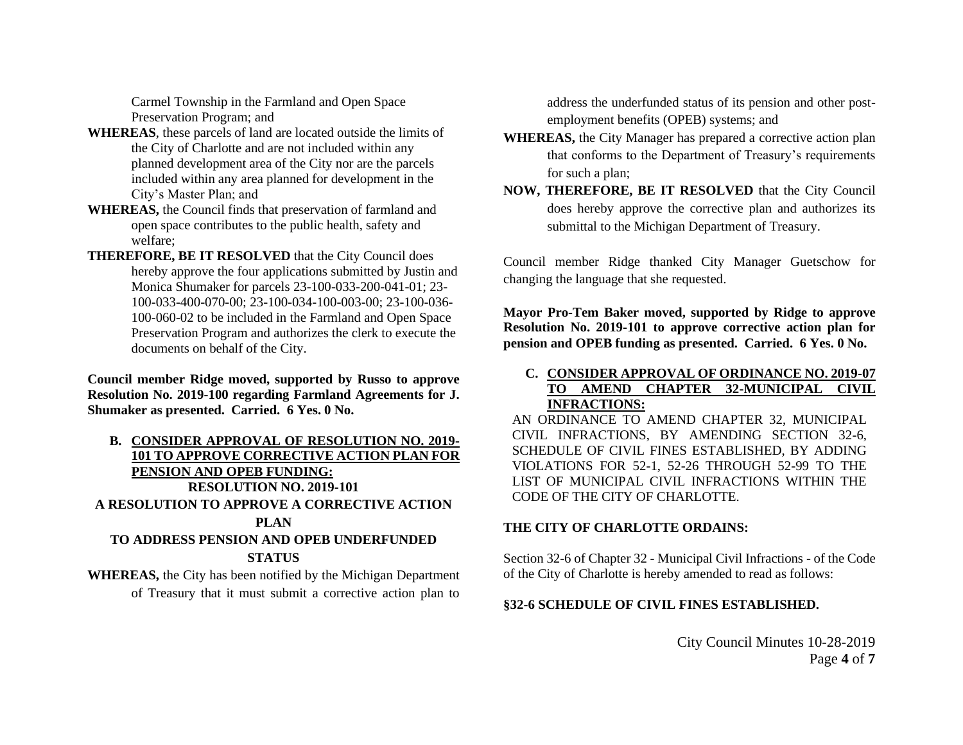Carmel Township in the Farmland and Open Space Preservation Program; and

- **WHEREAS**, these parcels of land are located outside the limits of the City of Charlotte and are not included within any planned development area of the City nor are the parcels included within any area planned for development in the City's Master Plan; and
- **WHEREAS,** the Council finds that preservation of farmland and open space contributes to the public health, safety and welfare;
- **THEREFORE, BE IT RESOLVED** that the City Council does hereby approve the four applications submitted by Justin and Monica Shumaker for parcels 23-100-033-200-041-01; 23- 100-033-400-070-00; 23-100-034-100-003-00; 23-100-036- 100-060-02 to be included in the Farmland and Open Space Preservation Program and authorizes the clerk to execute the documents on behalf of the City.

**Council member Ridge moved, supported by Russo to approve Resolution No. 2019-100 regarding Farmland Agreements for J. Shumaker as presented. Carried. 6 Yes. 0 No.**

# **B. CONSIDER APPROVAL OF RESOLUTION NO. 2019- 101 TO APPROVE CORRECTIVE ACTION PLAN FOR PENSION AND OPEB FUNDING: RESOLUTION NO. 2019-101 A RESOLUTION TO APPROVE A CORRECTIVE ACTION PLAN**

## **TO ADDRESS PENSION AND OPEB UNDERFUNDED STATUS**

**WHEREAS,** the City has been notified by the Michigan Department of Treasury that it must submit a corrective action plan to

address the underfunded status of its pension and other postemployment benefits (OPEB) systems; and

- **WHEREAS,** the City Manager has prepared a corrective action plan that conforms to the Department of Treasury's requirements for such a plan;
- **NOW, THEREFORE, BE IT RESOLVED** that the City Council does hereby approve the corrective plan and authorizes its submittal to the Michigan Department of Treasury.

Council member Ridge thanked City Manager Guetschow for changing the language that she requested.

**Mayor Pro-Tem Baker moved, supported by Ridge to approve Resolution No. 2019-101 to approve corrective action plan for pension and OPEB funding as presented. Carried. 6 Yes. 0 No.**

### **C. CONSIDER APPROVAL OF ORDINANCE NO. 2019-07 TO AMEND CHAPTER 32-MUNICIPAL CIVIL INFRACTIONS:**

AN ORDINANCE TO AMEND CHAPTER 32, MUNICIPAL CIVIL INFRACTIONS, BY AMENDING SECTION 32-6, SCHEDULE OF CIVIL FINES ESTABLISHED, BY ADDING VIOLATIONS FOR 52-1, 52-26 THROUGH 52-99 TO THE LIST OF MUNICIPAL CIVIL INFRACTIONS WITHIN THE CODE OF THE CITY OF CHARLOTTE.

### **THE CITY OF CHARLOTTE ORDAINS:**

Section 32-6 of Chapter 32 - Municipal Civil Infractions - of the Code of the City of Charlotte is hereby amended to read as follows:

### **§32-6 SCHEDULE OF CIVIL FINES ESTABLISHED.**

City Council Minutes 10-28-2019 Page **4** of **7**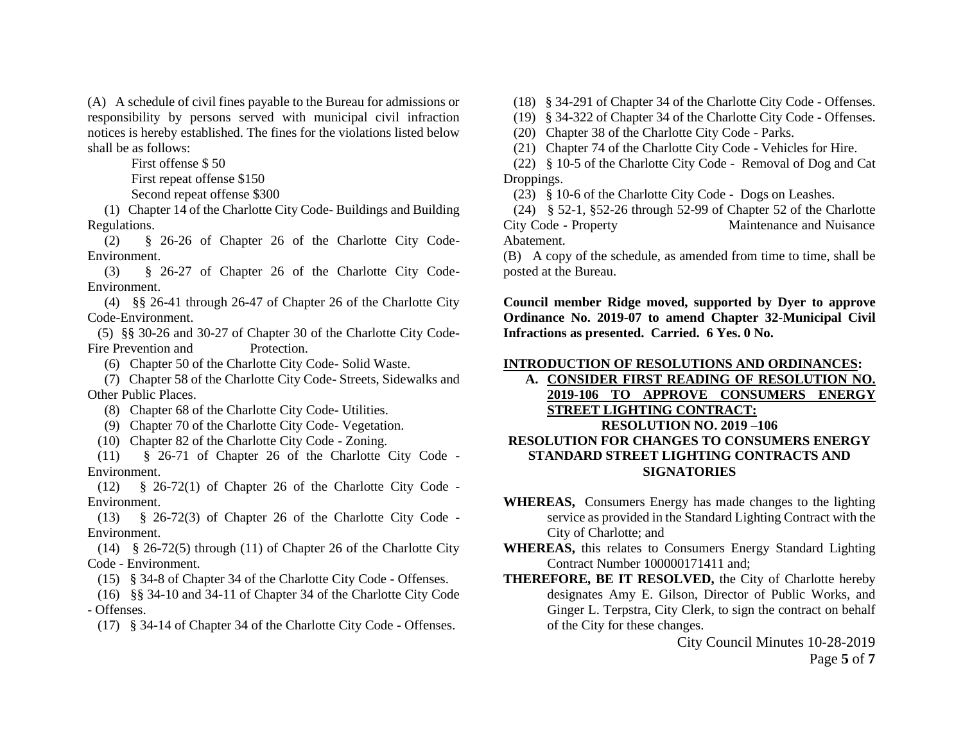(A) A schedule of civil fines payable to the Bureau for admissions or responsibility by persons served with municipal civil infraction notices is hereby established. The fines for the violations listed below shall be as follows:

First offense \$ 50

First repeat offense \$150

Second repeat offense \$300

 (1) Chapter 14 of the Charlotte City Code- Buildings and Building Regulations.

 (2) § 26-26 of Chapter 26 of the Charlotte City Code-Environment.

 (3) § 26-27 of Chapter 26 of the Charlotte City Code-Environment.

 (4) §§ 26-41 through 26-47 of Chapter 26 of the Charlotte City Code-Environment.

 (5) §§ 30-26 and 30-27 of Chapter 30 of the Charlotte City Code-Fire Prevention and Protection.

(6) Chapter 50 of the Charlotte City Code- Solid Waste.

 (7) Chapter 58 of the Charlotte City Code- Streets, Sidewalks and Other Public Places.

(8) Chapter 68 of the Charlotte City Code- Utilities.

(9) Chapter 70 of the Charlotte City Code- Vegetation.

(10) Chapter 82 of the Charlotte City Code - Zoning.

 (11) § 26-71 of Chapter 26 of the Charlotte City Code - Environment.

 (12) § 26-72(1) of Chapter 26 of the Charlotte City Code - Environment.

 (13) § 26-72(3) of Chapter 26 of the Charlotte City Code - Environment.

 (14) § 26-72(5) through (11) of Chapter 26 of the Charlotte City Code - Environment.

(15) § 34-8 of Chapter 34 of the Charlotte City Code - Offenses.

 (16) §§ 34-10 and 34-11 of Chapter 34 of the Charlotte City Code - Offenses.

(17) § 34-14 of Chapter 34 of the Charlotte City Code - Offenses.

(18) § 34-291 of Chapter 34 of the Charlotte City Code - Offenses.

(19) § 34-322 of Chapter 34 of the Charlotte City Code - Offenses.

(20) Chapter 38 of the Charlotte City Code - Parks.

(21) Chapter 74 of the Charlotte City Code - Vehicles for Hire.

 (22) § 10-5 of the Charlotte City Code - Removal of Dog and Cat Droppings.

(23) § 10-6 of the Charlotte City Code - Dogs on Leashes.

 (24) § 52-1, §52-26 through 52-99 of Chapter 52 of the Charlotte City Code - Property Maintenance and Nuisance Abatement.

(B) A copy of the schedule, as amended from time to time, shall be posted at the Bureau.

**Council member Ridge moved, supported by Dyer to approve Ordinance No. 2019-07 to amend Chapter 32-Municipal Civil Infractions as presented. Carried. 6 Yes. 0 No.**

### **INTRODUCTION OF RESOLUTIONS AND ORDINANCES:**

**A. CONSIDER FIRST READING OF RESOLUTION NO. 2019-106 TO APPROVE CONSUMERS ENERGY STREET LIGHTING CONTRACT: RESOLUTION NO. 2019 –106 RESOLUTION FOR CHANGES TO CONSUMERS ENERGY STANDARD STREET LIGHTING CONTRACTS AND SIGNATORIES**

- **WHEREAS,** Consumers Energy has made changes to the lighting service as provided in the Standard Lighting Contract with the City of Charlotte; and
- **WHEREAS,** this relates to Consumers Energy Standard Lighting Contract Number 100000171411 and;
- **THEREFORE, BE IT RESOLVED,** the City of Charlotte hereby designates Amy E. Gilson, Director of Public Works, and Ginger L. Terpstra, City Clerk, to sign the contract on behalf of the City for these changes.

City Council Minutes 10-28-2019 Page **5** of **7**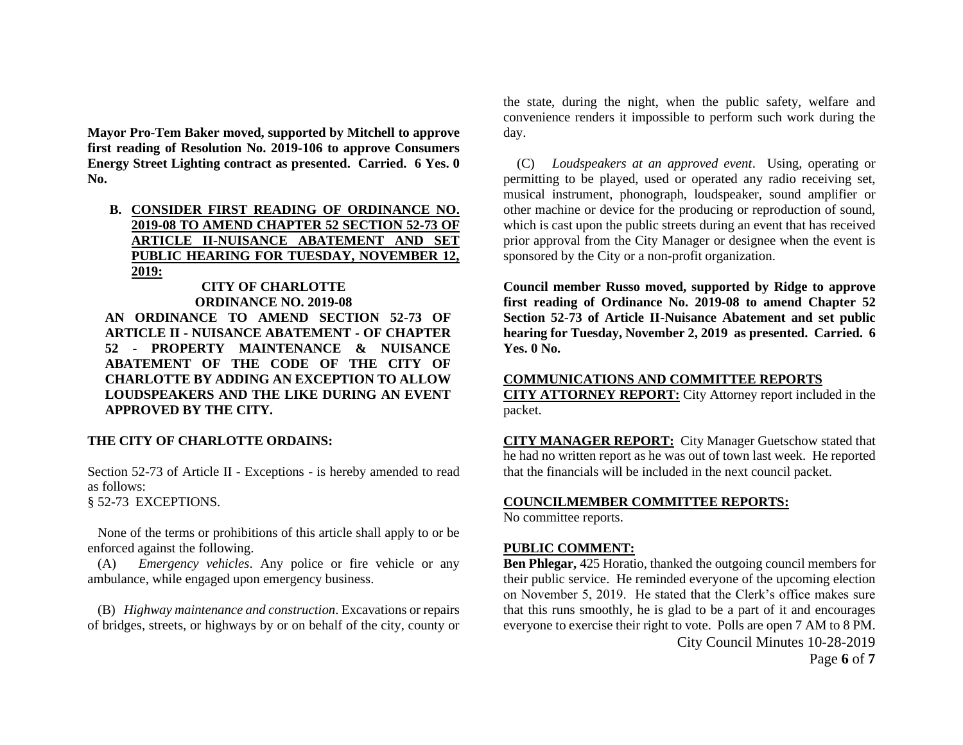**Mayor Pro-Tem Baker moved, supported by Mitchell to approve first reading of Resolution No. 2019-106 to approve Consumers Energy Street Lighting contract as presented. Carried. 6 Yes. 0 No.**

**B. CONSIDER FIRST READING OF ORDINANCE NO. 2019-08 TO AMEND CHAPTER 52 SECTION 52-73 OF ARTICLE II-NUISANCE ABATEMENT AND SET PUBLIC HEARING FOR TUESDAY, NOVEMBER 12, 2019:**

## **CITY OF CHARLOTTE ORDINANCE NO. 2019-08**

**AN ORDINANCE TO AMEND SECTION 52-73 OF ARTICLE II - NUISANCE ABATEMENT - OF CHAPTER 52 - PROPERTY MAINTENANCE & NUISANCE ABATEMENT OF THE CODE OF THE CITY OF CHARLOTTE BY ADDING AN EXCEPTION TO ALLOW LOUDSPEAKERS AND THE LIKE DURING AN EVENT APPROVED BY THE CITY.**

### **THE CITY OF CHARLOTTE ORDAINS:**

Section 52-73 of Article II - Exceptions - is hereby amended to read as follows:

§ 52-73 EXCEPTIONS.

 None of the terms or prohibitions of this article shall apply to or be enforced against the following.

 (A) *Emergency vehicles*. Any police or fire vehicle or any ambulance, while engaged upon emergency business.

 (B) *Highway maintenance and construction*. Excavations or repairs of bridges, streets, or highways by or on behalf of the city, county or

the state, during the night, when the public safety, welfare and convenience renders it impossible to perform such work during the day.

 (C) *Loudspeakers at an approved event*. Using, operating or permitting to be played, used or operated any radio receiving set, musical instrument, phonograph, loudspeaker, sound amplifier or other machine or device for the producing or reproduction of sound, which is cast upon the public streets during an event that has received prior approval from the City Manager or designee when the event is sponsored by the City or a non-profit organization.

**Council member Russo moved, supported by Ridge to approve first reading of Ordinance No. 2019-08 to amend Chapter 52 Section 52-73 of Article II-Nuisance Abatement and set public hearing for Tuesday, November 2, 2019 as presented. Carried. 6 Yes. 0 No.**

#### **COMMUNICATIONS AND COMMITTEE REPORTS**

**CITY ATTORNEY REPORT:** City Attorney report included in the packet.

**CITY MANAGER REPORT:** City Manager Guetschow stated that he had no written report as he was out of town last week. He reported that the financials will be included in the next council packet.

#### **COUNCILMEMBER COMMITTEE REPORTS:**

No committee reports.

#### **PUBLIC COMMENT:**

City Council Minutes 10-28-2019 **Ben Phlegar,** 425 Horatio, thanked the outgoing council members for their public service. He reminded everyone of the upcoming election on November 5, 2019. He stated that the Clerk's office makes sure that this runs smoothly, he is glad to be a part of it and encourages everyone to exercise their right to vote. Polls are open 7 AM to 8 PM.

Page **6** of **7**